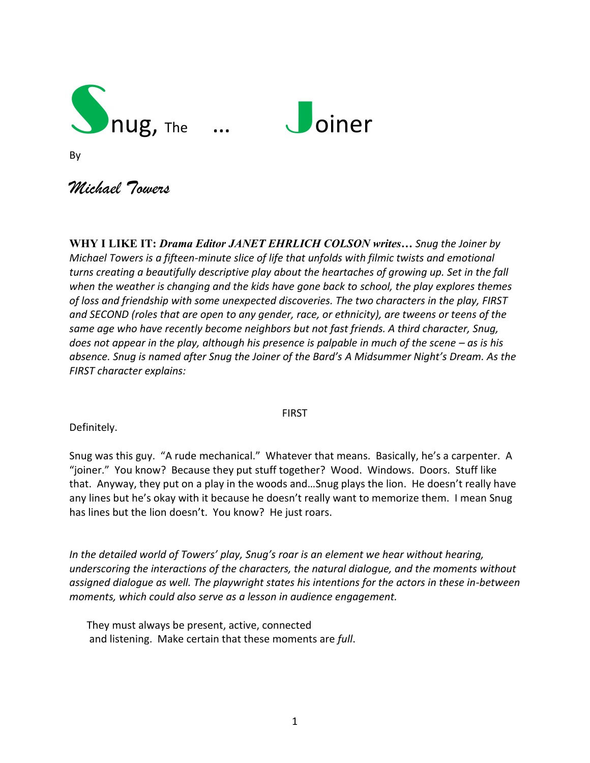



By

# *Michael Towers*

**WHY I LIKE IT:** *Drama Editor JANET EHRLICH COLSON writes… Snug the Joiner by Michael Towers is a fifteen-minute slice of life that unfolds with filmic twists and emotional turns creating a beautifully descriptive play about the heartaches of growing up. Set in the fall when the weather is changing and the kids have gone back to school, the play explores themes of loss and friendship with some unexpected discoveries. The two characters in the play, FIRST and SECOND (roles that are open to any gender, race, or ethnicity), are tweens or teens of the same age who have recently become neighbors but not fast friends. A third character, Snug, does not appear in the play, although his presence is palpable in much of the scene – as is his absence. Snug is named after Snug the Joiner of the Bard's A Midsummer Night's Dream. As the FIRST character explains:* 

# FIRST

Definitely.

Snug was this guy. "A rude mechanical." Whatever that means. Basically, he's a carpenter. A "joiner." You know? Because they put stuff together? Wood. Windows. Doors. Stuff like that. Anyway, they put on a play in the woods and…Snug plays the lion. He doesn't really have any lines but he's okay with it because he doesn't really want to memorize them. I mean Snug has lines but the lion doesn't. You know? He just roars.

*In the detailed world of Towers' play, Snug's roar is an element we hear without hearing, underscoring the interactions of the characters, the natural dialogue, and the moments without assigned dialogue as well. The playwright states his intentions for the actors in these in-between moments, which could also serve as a lesson in audience engagement.* 

They must always be present, active, connected and listening. Make certain that these moments are *full*.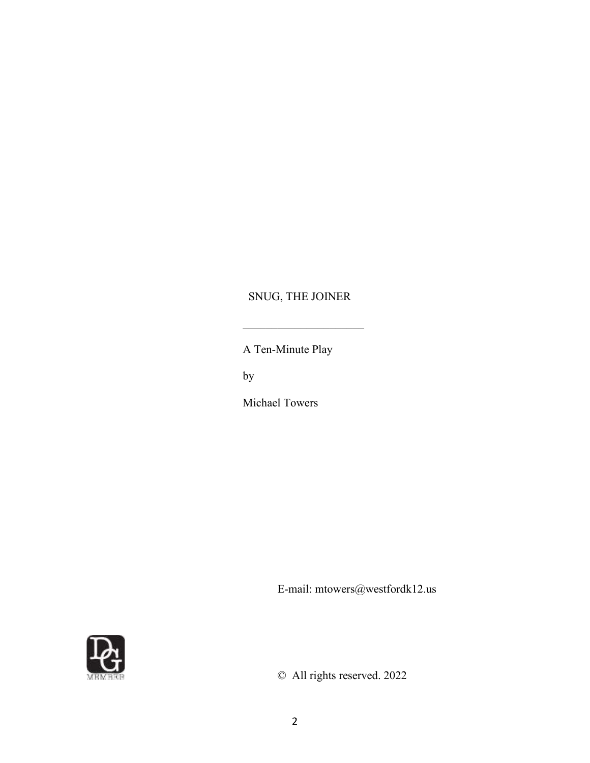# SNUG, THE JOINER

 $\mathcal{L}_\text{max}$  , where  $\mathcal{L}_\text{max}$ 

A Ten-Minute Play

by

Michael Towers

E-mail: mtowers@westfordk12.us



© All rights reserved. 2022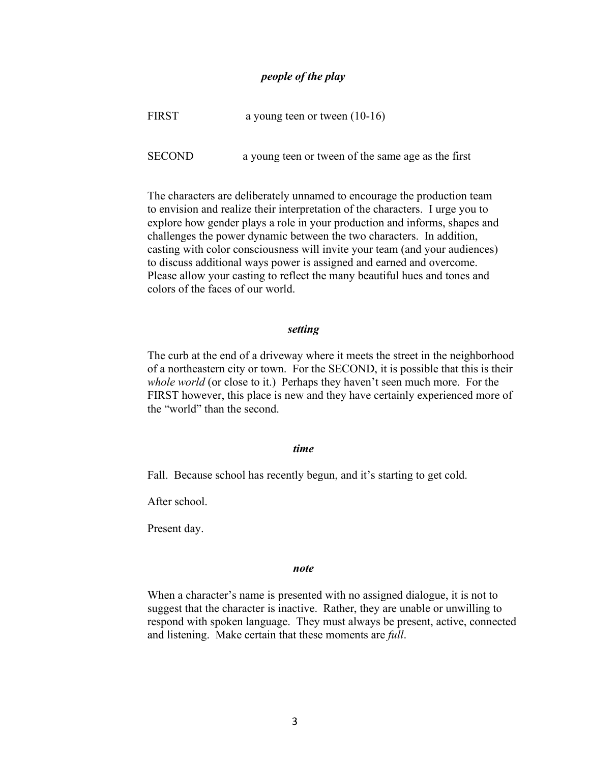# *people of the play*

| FIRST  | a young teen or tween $(10-16)$                    |  |
|--------|----------------------------------------------------|--|
| SECOND | a young teen or tween of the same age as the first |  |

The characters are deliberately unnamed to encourage the production team to envision and realize their interpretation of the characters. I urge you to explore how gender plays a role in your production and informs, shapes and challenges the power dynamic between the two characters. In addition, casting with color consciousness will invite your team (and your audiences) to discuss additional ways power is assigned and earned and overcome. Please allow your casting to reflect the many beautiful hues and tones and colors of the faces of our world.

#### *setting*

The curb at the end of a driveway where it meets the street in the neighborhood of a northeastern city or town. For the SECOND, it is possible that this is their *whole world* (or close to it.) Perhaps they haven't seen much more. For the FIRST however, this place is new and they have certainly experienced more of the "world" than the second.

#### *time*

Fall. Because school has recently begun, and it's starting to get cold.

After school.

Present day.

#### *note*

When a character's name is presented with no assigned dialogue, it is not to suggest that the character is inactive. Rather, they are unable or unwilling to respond with spoken language. They must always be present, active, connected and listening. Make certain that these moments are *full*.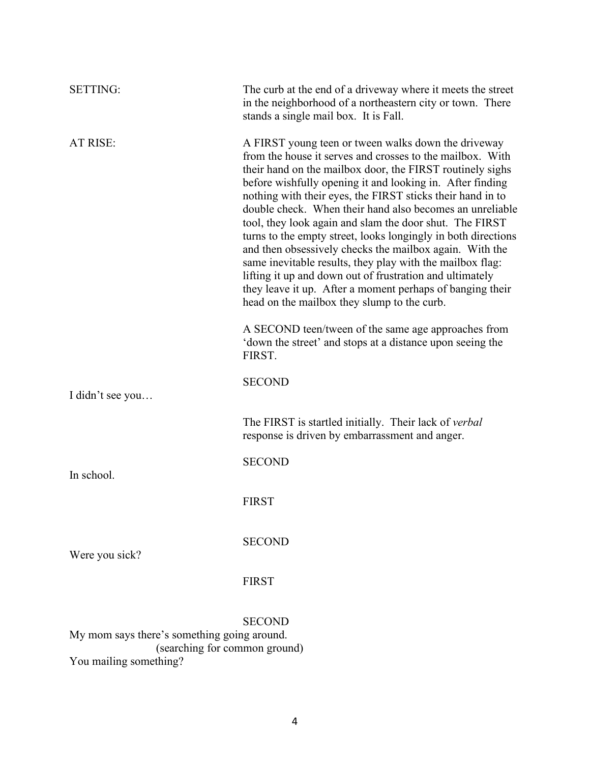| <b>SETTING:</b>                                                                                        | The curb at the end of a driveway where it meets the street<br>in the neighborhood of a northeastern city or town. There<br>stands a single mail box. It is Fall.                                                                                                                                                                                                                                                                                                                                                                                                                                                                                                                                                                                                                                |
|--------------------------------------------------------------------------------------------------------|--------------------------------------------------------------------------------------------------------------------------------------------------------------------------------------------------------------------------------------------------------------------------------------------------------------------------------------------------------------------------------------------------------------------------------------------------------------------------------------------------------------------------------------------------------------------------------------------------------------------------------------------------------------------------------------------------------------------------------------------------------------------------------------------------|
| AT RISE:                                                                                               | A FIRST young teen or tween walks down the driveway<br>from the house it serves and crosses to the mailbox. With<br>their hand on the mailbox door, the FIRST routinely sighs<br>before wishfully opening it and looking in. After finding<br>nothing with their eyes, the FIRST sticks their hand in to<br>double check. When their hand also becomes an unreliable<br>tool, they look again and slam the door shut. The FIRST<br>turns to the empty street, looks longingly in both directions<br>and then obsessively checks the mailbox again. With the<br>same inevitable results, they play with the mailbox flag:<br>lifting it up and down out of frustration and ultimately<br>they leave it up. After a moment perhaps of banging their<br>head on the mailbox they slump to the curb. |
|                                                                                                        | A SECOND teen/tween of the same age approaches from<br>'down the street' and stops at a distance upon seeing the<br>FIRST.                                                                                                                                                                                                                                                                                                                                                                                                                                                                                                                                                                                                                                                                       |
| I didn't see you                                                                                       | <b>SECOND</b>                                                                                                                                                                                                                                                                                                                                                                                                                                                                                                                                                                                                                                                                                                                                                                                    |
|                                                                                                        | The FIRST is startled initially. Their lack of verbal<br>response is driven by embarrassment and anger.                                                                                                                                                                                                                                                                                                                                                                                                                                                                                                                                                                                                                                                                                          |
| In school.                                                                                             | <b>SECOND</b>                                                                                                                                                                                                                                                                                                                                                                                                                                                                                                                                                                                                                                                                                                                                                                                    |
|                                                                                                        | <b>FIRST</b>                                                                                                                                                                                                                                                                                                                                                                                                                                                                                                                                                                                                                                                                                                                                                                                     |
| Were you sick?                                                                                         | <b>SECOND</b>                                                                                                                                                                                                                                                                                                                                                                                                                                                                                                                                                                                                                                                                                                                                                                                    |
|                                                                                                        | <b>FIRST</b>                                                                                                                                                                                                                                                                                                                                                                                                                                                                                                                                                                                                                                                                                                                                                                                     |
| My mom says there's something going around.<br>(searching for common ground)<br>You mailing something? | <b>SECOND</b>                                                                                                                                                                                                                                                                                                                                                                                                                                                                                                                                                                                                                                                                                                                                                                                    |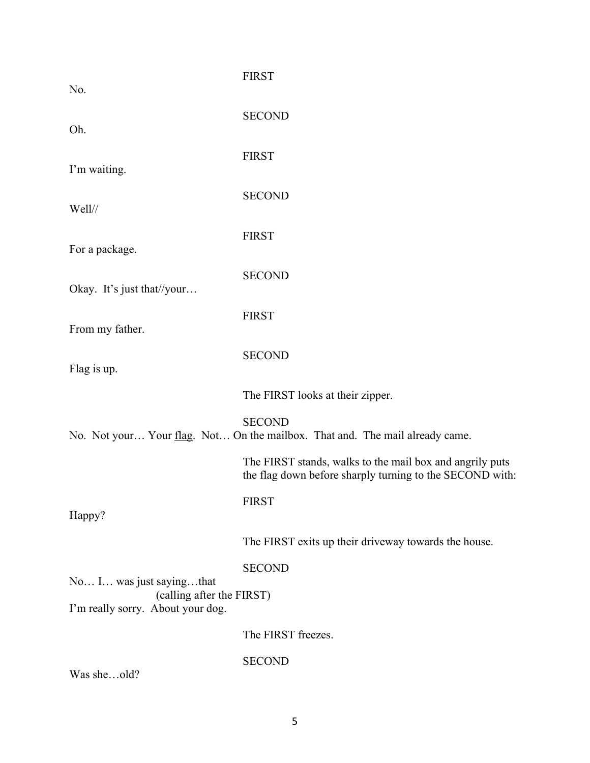| No.                                                            | <b>FIRST</b>                                                                                                         |
|----------------------------------------------------------------|----------------------------------------------------------------------------------------------------------------------|
| Oh.                                                            | <b>SECOND</b>                                                                                                        |
| I'm waiting.                                                   | <b>FIRST</b>                                                                                                         |
| Well//                                                         | <b>SECOND</b>                                                                                                        |
| For a package.                                                 | <b>FIRST</b>                                                                                                         |
| Okay. It's just that//your                                     | <b>SECOND</b>                                                                                                        |
| From my father.                                                | <b>FIRST</b>                                                                                                         |
| Flag is up.                                                    | <b>SECOND</b>                                                                                                        |
|                                                                | The FIRST looks at their zipper.                                                                                     |
|                                                                | <b>SECOND</b><br>No. Not your Your flag. Not On the mailbox. That and. The mail already came.                        |
|                                                                | The FIRST stands, walks to the mail box and angrily puts<br>the flag down before sharply turning to the SECOND with: |
| Happy?                                                         | <b>FIRST</b>                                                                                                         |
|                                                                | The FIRST exits up their driveway towards the house.                                                                 |
| No I was just sayingthat                                       | <b>SECOND</b>                                                                                                        |
| (calling after the FIRST)<br>I'm really sorry. About your dog. |                                                                                                                      |
|                                                                | The FIRST freezes.                                                                                                   |
| Was sheold?                                                    | <b>SECOND</b>                                                                                                        |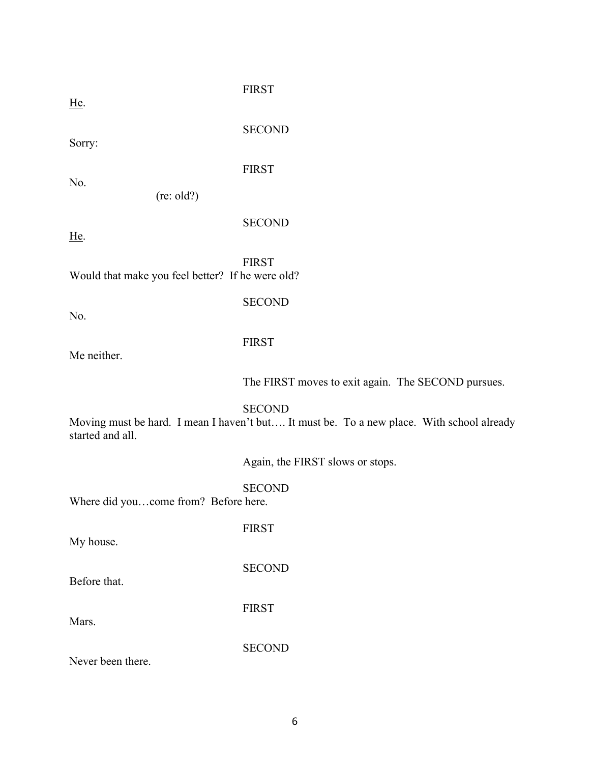He.

FIRST

SECOND

Sorry:

FIRST

No.

He.

(re: old?)

SECOND

FIRST Would that make you feel better? If he were old?

No.

FIRST

**SECOND** 

Me neither.

The FIRST moves to exit again. The SECOND pursues.

SECOND

Moving must be hard. I mean I haven't but…. It must be. To a new place. With school already started and all.

Again, the FIRST slows or stops.

**SECOND** 

FIRST

Where did you…come from? Before here.

My house.

Before that.

Mars.

FIRST

**SECOND** 

**SECOND** 

Never been there.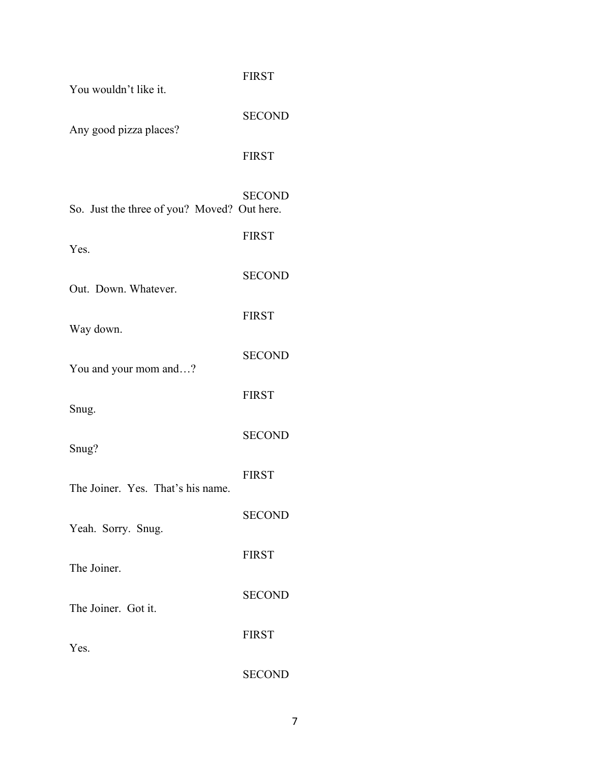| You wouldn't like it.                       | <b>FIRST</b>  |
|---------------------------------------------|---------------|
| Any good pizza places?                      | <b>SECOND</b> |
|                                             | <b>FIRST</b>  |
| So. Just the three of you? Moved? Out here. | <b>SECOND</b> |
| Yes.                                        | <b>FIRST</b>  |
| Out. Down. Whatever.                        | <b>SECOND</b> |
| Way down.                                   | <b>FIRST</b>  |
| You and your mom and?                       | <b>SECOND</b> |
| Snug.                                       | <b>FIRST</b>  |
| Snug?                                       | <b>SECOND</b> |
| The Joiner. Yes. That's his name.           | <b>FIRST</b>  |
| Yeah. Sorry. Snug.                          | <b>SECOND</b> |
| The Joiner.                                 | <b>FIRST</b>  |
|                                             | <b>SECOND</b> |
| The Joiner. Got it.                         | <b>FIRST</b>  |
| Yes.                                        | <b>SECOND</b> |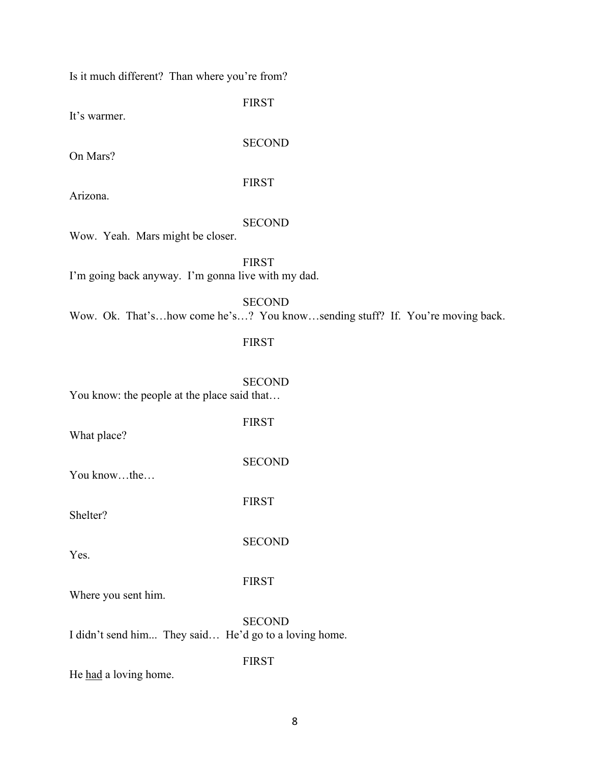Is it much different? Than where you're from?

FIRST

It's warmer.

**SECOND** 

On Mars?

FIRST

Arizona.

# **SECOND**

Wow. Yeah. Mars might be closer.

FIRST I'm going back anyway. I'm gonna live with my dad.

# SECOND

Wow. Ok. That's…how come he's…? You know…sending stuff? If. You're moving back.

# FIRST

SECOND You know: the people at the place said that…

What place?

FIRST

**SECOND** 

FIRST

You know…the…

Shelter?

Yes.

#### FIRST

**SECOND** 

Where you sent him.

**SECOND** I didn't send him... They said… He'd go to a loving home.

#### FIRST

He had a loving home.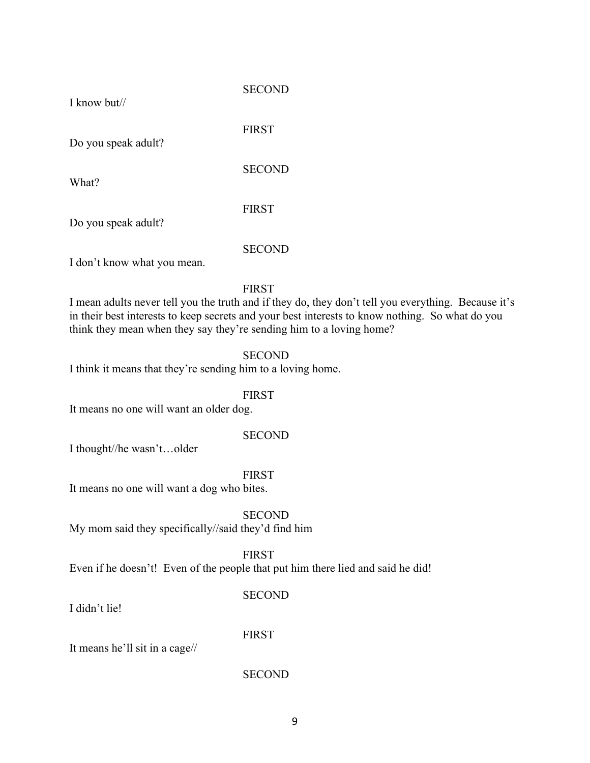**SECOND** 

I know but//

FIRST

**SECOND** 

**FIRST** 

Do you speak adult?

What?

Do you speak adult?

**SECOND** 

I don't know what you mean.

FIRST

I mean adults never tell you the truth and if they do, they don't tell you everything. Because it's in their best interests to keep secrets and your best interests to know nothing. So what do you think they mean when they say they're sending him to a loving home?

**SECOND** 

I think it means that they're sending him to a loving home.

FIRST

It means no one will want an older dog.

**SECOND** 

I thought//he wasn't…older

FIRST

It means no one will want a dog who bites.

**SECOND** 

My mom said they specifically//said they'd find him

FIRST

Even if he doesn't! Even of the people that put him there lied and said he did!

# **SECOND**

I didn't lie!

FIRST

It means he'll sit in a cage//

**SECOND**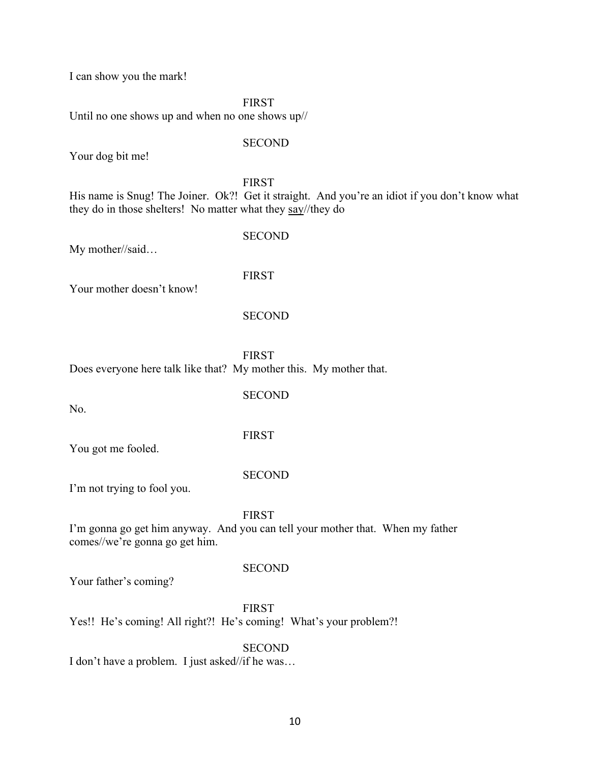I can show you the mark!

FIRST

Until no one shows up and when no one shows up//

# **SECOND**

Your dog bit me!

#### FIRST

His name is Snug! The Joiner. Ok?! Get it straight. And you're an idiot if you don't know what they do in those shelters! No matter what they say//they do

**SECOND** 

My mother//said…

# FIRST

Your mother doesn't know!

# **SECOND**

FIRST Does everyone here talk like that? My mother this. My mother that.

# **SECOND**

FIRST

No.

You got me fooled.

# **SECOND**

I'm not trying to fool you.

# FIRST

I'm gonna go get him anyway. And you can tell your mother that. When my father comes//we're gonna go get him.

#### **SECOND**

Your father's coming?

FIRST Yes!! He's coming! All right?! He's coming! What's your problem?!

#### **SECOND**

I don't have a problem. I just asked//if he was…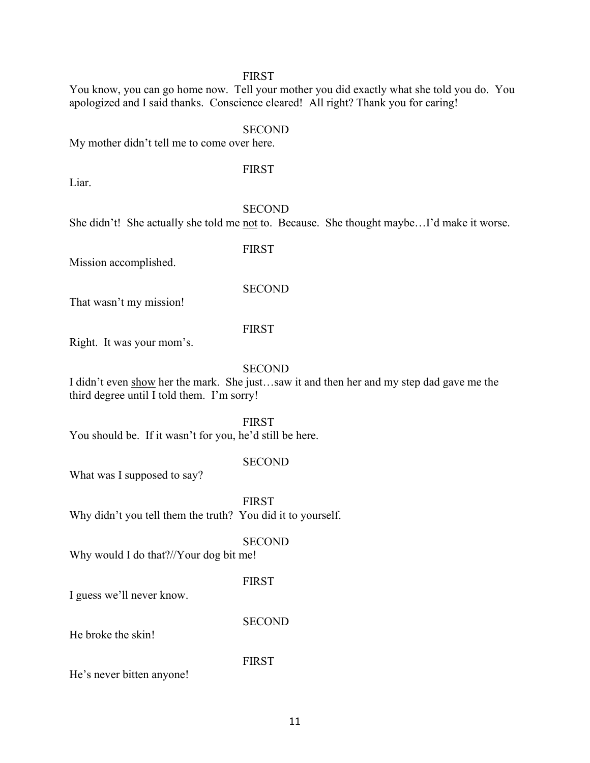#### FIRST

You know, you can go home now. Tell your mother you did exactly what she told you do. You apologized and I said thanks. Conscience cleared! All right? Thank you for caring!

#### **SECOND**

My mother didn't tell me to come over here.

Liar.

# FIRST

**SECOND** 

She didn't! She actually she told me not to. Because. She thought maybe…I'd make it worse.

FIRST

Mission accomplished.

**SECOND** 

That wasn't my mission!

#### FIRST

Right. It was your mom's.

#### **SECOND**

I didn't even show her the mark. She just…saw it and then her and my step dad gave me the third degree until I told them. I'm sorry!

FIRST

You should be. If it wasn't for you, he'd still be here.

#### **SECOND**

What was I supposed to say?

FIRST Why didn't you tell them the truth? You did it to yourself.

**SECOND** 

Why would I do that?//Your dog bit me!

#### FIRST

I guess we'll never know.

**SECOND** 

He broke the skin!

FIRST

He's never bitten anyone!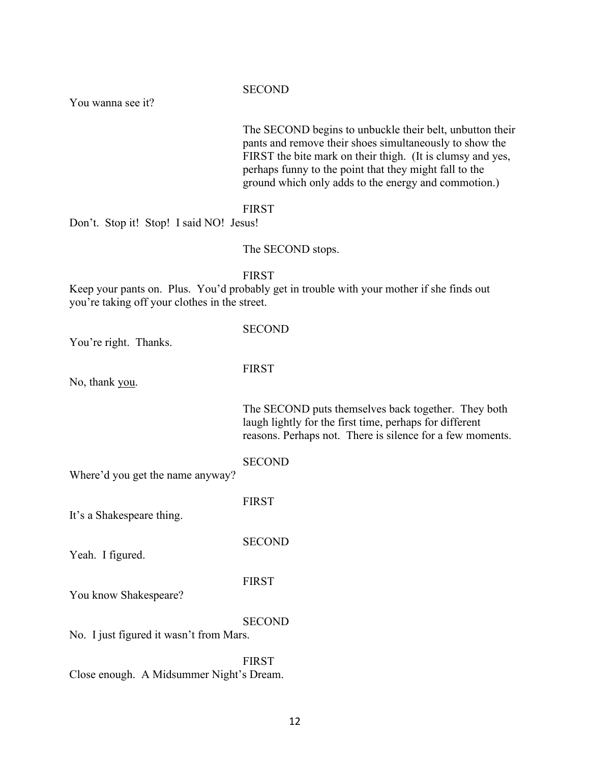#### **SECOND**

You wanna see it?

The SECOND begins to unbuckle their belt, unbutton their pants and remove their shoes simultaneously to show the FIRST the bite mark on their thigh. (It is clumsy and yes, perhaps funny to the point that they might fall to the ground which only adds to the energy and commotion.)

#### FIRST

Don't. Stop it! Stop! I said NO! Jesus!

The SECOND stops.

FIRST

Keep your pants on. Plus. You'd probably get in trouble with your mother if she finds out you're taking off your clothes in the street.

You're right. Thanks.

**SECOND** 

FIRST

No, thank you.

The SECOND puts themselves back together. They both laugh lightly for the first time, perhaps for different reasons. Perhaps not. There is silence for a few moments.

**SECOND** Where'd you get the name anyway?

FIRST

It's a Shakespeare thing.

Yeah. I figured.

#### FIRST

**SECOND** 

You know Shakespeare?

**SECOND** 

No. I just figured it wasn't from Mars.

FIRST Close enough. A Midsummer Night's Dream.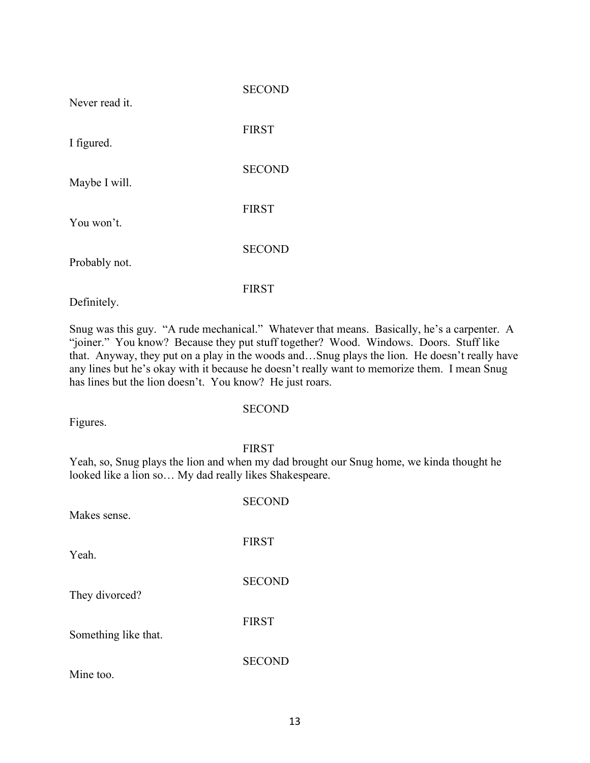| Never read it. | <b>SECOND</b> |
|----------------|---------------|
| I figured.     | <b>FIRST</b>  |
| Maybe I will.  | <b>SECOND</b> |
| You won't.     | <b>FIRST</b>  |
| Probably not.  | <b>SECOND</b> |
| Definitely.    | <b>FIRST</b>  |

Snug was this guy. "A rude mechanical." Whatever that means. Basically, he's a carpenter. A "joiner." You know? Because they put stuff together? Wood. Windows. Doors. Stuff like that. Anyway, they put on a play in the woods and…Snug plays the lion. He doesn't really have any lines but he's okay with it because he doesn't really want to memorize them. I mean Snug has lines but the lion doesn't. You know? He just roars.

#### **SECOND**

Figures.

#### FIRST

Yeah, so, Snug plays the lion and when my dad brought our Snug home, we kinda thought he looked like a lion so… My dad really likes Shakespeare.

| Makes sense.         | <b>SECOND</b> |
|----------------------|---------------|
| Yeah.                | <b>FIRST</b>  |
| They divorced?       | <b>SECOND</b> |
| Something like that. | <b>FIRST</b>  |
| Mine too.            | <b>SECOND</b> |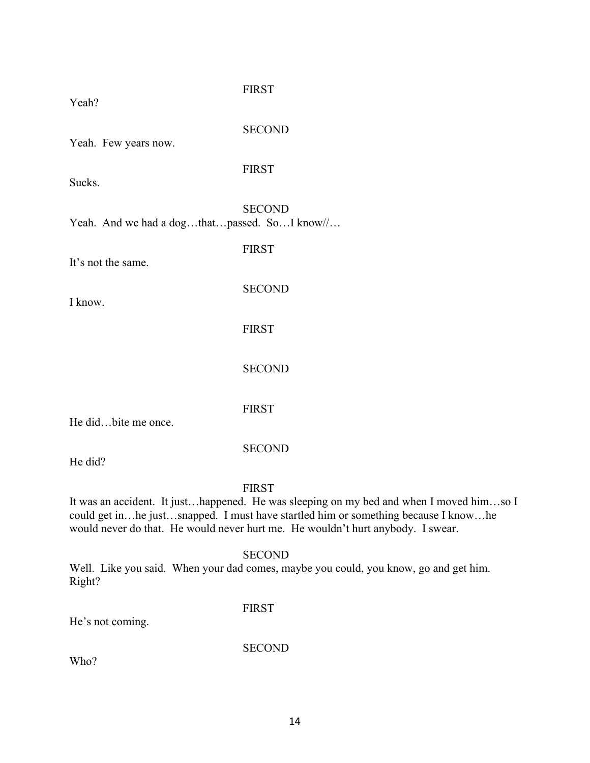#### FIRST

Yeah?

**SECOND** 

Yeah. Few years now.

# FIRST

Sucks.

**SECOND** Yeah. And we had a dog...that...passed. So...I know//...

FIRST

It's not the same.

I know.

**SECOND** 

FIRST

**SECOND** 

FIRST

He did…bite me once.

# **SECOND**

He did?

#### FIRST

It was an accident. It just…happened. He was sleeping on my bed and when I moved him…so I could get in…he just…snapped. I must have startled him or something because I know…he would never do that. He would never hurt me. He wouldn't hurt anybody. I swear.

#### **SECOND**

Well. Like you said. When your dad comes, maybe you could, you know, go and get him. Right?

FIRST

He's not coming.

**SECOND** 

Who?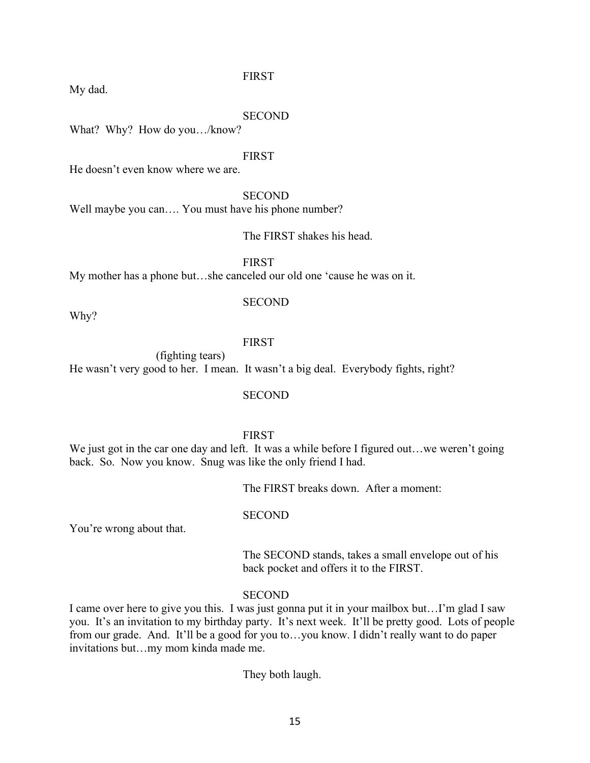FIRST

My dad.

#### SECOND

What? Why? How do you.../know?

#### **FIRST**

He doesn't even know where we are.

**SECOND** 

Well maybe you can.... You must have his phone number?

The FIRST shakes his head.

FIRST

My mother has a phone but…she canceled our old one 'cause he was on it.

# **SECOND**

Why?

#### FIRST

(fighting tears) He wasn't very good to her. I mean. It wasn't a big deal. Everybody fights, right?

#### SECOND

#### FIRST

We just got in the car one day and left. It was a while before I figured out...we weren't going back. So. Now you know. Snug was like the only friend I had.

The FIRST breaks down. After a moment:

#### **SECOND**

You're wrong about that.

The SECOND stands, takes a small envelope out of his back pocket and offers it to the FIRST.

#### **SECOND**

I came over here to give you this. I was just gonna put it in your mailbox but…I'm glad I saw you. It's an invitation to my birthday party. It's next week. It'll be pretty good. Lots of people from our grade. And. It'll be a good for you to…you know. I didn't really want to do paper invitations but…my mom kinda made me.

They both laugh.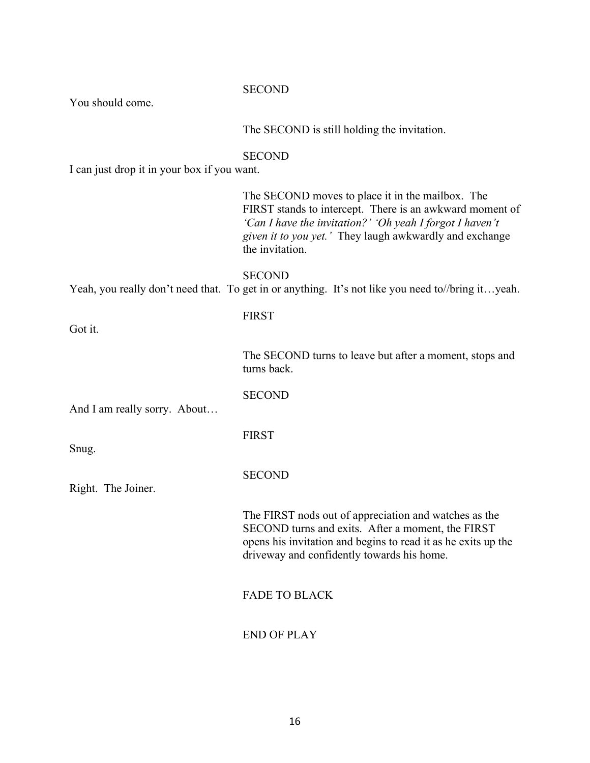#### **SECOND**

You should come.

The SECOND is still holding the invitation.

#### **SECOND**

I can just drop it in your box if you want.

The SECOND moves to place it in the mailbox. The FIRST stands to intercept. There is an awkward moment of *'Can I have the invitation?' 'Oh yeah I forgot I haven't given it to you yet.'* They laugh awkwardly and exchange the invitation.

**SECOND** Yeah, you really don't need that. To get in or anything. It's not like you need to//bring it…yeah.

Got it.

FIRST

The SECOND turns to leave but after a moment, stops and turns back.

SECOND

And I am really sorry. About…

Snug.

**SECOND** 

FIRST

Right. The Joiner.

The FIRST nods out of appreciation and watches as the SECOND turns and exits. After a moment, the FIRST opens his invitation and begins to read it as he exits up the driveway and confidently towards his home.

FADE TO BLACK

END OF PLAY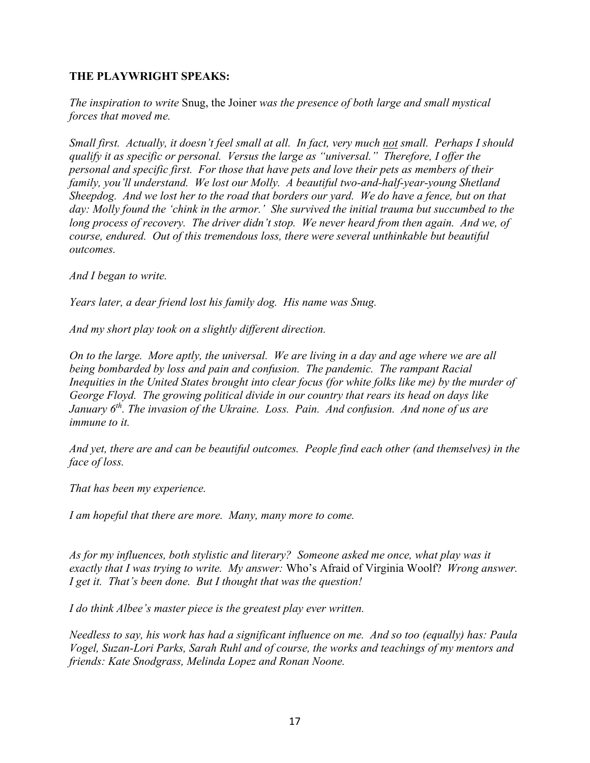# **THE PLAYWRIGHT SPEAKS:**

*The inspiration to write* Snug, the Joiner *was the presence of both large and small mystical forces that moved me.*

*Small first. Actually, it doesn't feel small at all. In fact, very much not small. Perhaps I should qualify it as specific or personal. Versus the large as "universal." Therefore, I offer the personal and specific first. For those that have pets and love their pets as members of their family, you'll understand. We lost our Molly. A beautiful two-and-half-year-young Shetland Sheepdog. And we lost her to the road that borders our yard. We do have a fence, but on that day: Molly found the 'chink in the armor.' She survived the initial trauma but succumbed to the*  long process of recovery. The driver didn't stop. We never heard from then again. And we, of *course, endured. Out of this tremendous loss, there were several unthinkable but beautiful outcomes.*

*And I began to write.*

*Years later, a dear friend lost his family dog. His name was Snug.*

*And my short play took on a slightly different direction.*

*On to the large. More aptly, the universal. We are living in a day and age where we are all being bombarded by loss and pain and confusion. The pandemic. The rampant Racial Inequities in the United States brought into clear focus (for white folks like me) by the murder of George Floyd. The growing political divide in our country that rears its head on days like January 6th. The invasion of the Ukraine. Loss. Pain. And confusion. And none of us are immune to it.*

*And yet, there are and can be beautiful outcomes. People find each other (and themselves) in the face of loss.*

*That has been my experience.*

*I am hopeful that there are more. Many, many more to come.*

*As for my influences, both stylistic and literary? Someone asked me once, what play was it exactly that I was trying to write. My answer:* Who's Afraid of Virginia Woolf? *Wrong answer. I get it. That's been done. But I thought that was the question!* 

*I do think Albee's master piece is the greatest play ever written.*

*Needless to say, his work has had a significant influence on me. And so too (equally) has: Paula Vogel, Suzan-Lori Parks, Sarah Ruhl and of course, the works and teachings of my mentors and friends: Kate Snodgrass, Melinda Lopez and Ronan Noone.*